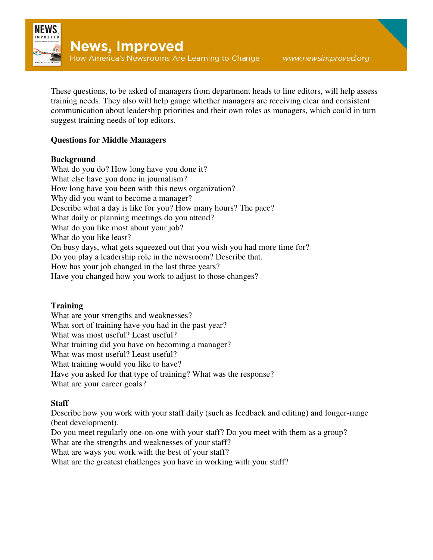

These questions, to be asked of managers from department heads to line editors, will help assess training needs. They also will help gauge whether managers are receiving clear and consistent communication about leadership priorities and their own roles as managers, which could in turn suggest training needs of top editors.

## **Questions for Middle Managers**

### **Background**

What do you do? How long have you done it? What else have you done in journalism? How long have you been with this news organization? Why did you want to become a manager? Describe what a day is like for you? How many hours? The pace? What daily or planning meetings do you attend? What do you like most about your job? What do you like least? On busy days, what gets squeezed out that you wish you had more time for? Do you play a leadership role in the newsroom? Describe that. How has your job changed in the last three years? Have you changed how you work to adjust to those changes?

### **Training**

What are your strengths and weaknesses? What sort of training have you had in the past year? What was most useful? Least useful? What training did you have on becoming a manager? What was most useful? Least useful? What training would you like to have? Have you asked for that type of training? What was the response? What are your career goals?

### **Staff**

Describe how you work with your staff daily (such as feedback and editing) and longer-range (beat development).

Do you meet regularly one-on-one with your staff? Do you meet with them as a group?

What are the strengths and weaknesses of your staff?

What are ways you work with the best of your staff?

What are the greatest challenges you have in working with your staff?